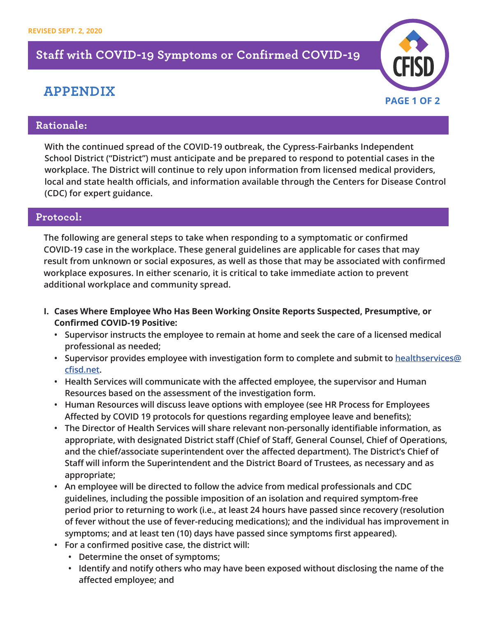## **Staff with COVID-19 Symptoms or Confirmed COVID-19**

## **APPENDIX**



## **Rationale:**

**With the continued spread of the COVID-19 outbreak, the Cypress-Fairbanks Independent School District ("District") must anticipate and be prepared to respond to potential cases in the workplace. The District will continue to rely upon information from licensed medical providers, local and state health officials, and information available through the Centers for Disease Control (CDC) for expert guidance.**

## **Protocol:**

**The following are general steps to take when responding to a symptomatic or confirmed COVID-19 case in the workplace. These general guidelines are applicable for cases that may result from unknown or social exposures, as well as those that may be associated with confirmed workplace exposures. In either scenario, it is critical to take immediate action to prevent additional workplace and community spread.**

- **I. Cases Where Employee Who Has Been Working Onsite Reports Suspected, Presumptive, or Confirmed COVID-19 Positive:** 
	- **• Supervisor instructs the employee to remain at home and seek the care of a licensed medical professional as needed;**
	- **• Supervisor provides employee with investigation form to complete and submit to healthservices@ cfisd.net.**
	- **• Health Services will communicate with the affected employee, the supervisor and Human Resources based on the assessment of the investigation form.**
	- **• Human Resources will discuss leave options with employee (see HR Process for Employees Affected by COVID 19 protocols for questions regarding employee leave and benefits);**
	- **• The Director of Health Services will share relevant non-personally identifiable information, as appropriate, with designated District staff (Chief of Staff, General Counsel, Chief of Operations, and the chief/associate superintendent over the affected department). The District's Chief of Staff will inform the Superintendent and the District Board of Trustees, as necessary and as appropriate;**
	- **• An employee will be directed to follow the advice from medical professionals and CDC guidelines, including the possible imposition of an isolation and required symptom-free period prior to returning to work (i.e., at least 24 hours have passed since recovery (resolution of fever without the use of fever-reducing medications); and the individual has improvement in symptoms; and at least ten (10) days have passed since symptoms first appeared).**
	- **• For a confirmed positive case, the district will:**
		- **• Determine the onset of symptoms;**
		- **• Identify and notify others who may have been exposed without disclosing the name of the affected employee; and**